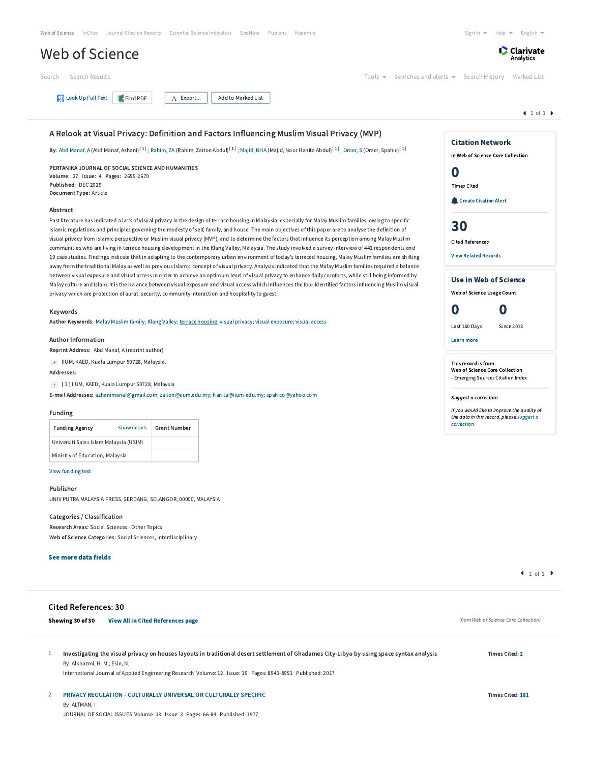| Web of Science InCites Journal Citation Reports Essential Science Indicators EndNote Publons Kopernio | Sign In $\blacktriangledown$ Help $\blacktriangledown$ English $\blacktriangledown$ |
|-------------------------------------------------------------------------------------------------------|-------------------------------------------------------------------------------------|
| Web of Science                                                                                        | <b>Clarivate</b>                                                                    |
| Search Search Results                                                                                 | Tools $\bullet$ Searches and alerts $\bullet$ Search History Marked List            |
| Look Up Full Text Find PDF<br>$\overline{A}$ Export   Add to Marked List                              |                                                                                     |

# A Relook at Visual Privacy: Definition and Factors Influencing Muslim Visual Privacy (MVP)

**By:** Abd [Manaf,](http://apps.webofknowledge.com.ezproxy.um.edu.my/OutboundService.do?SID=E25u2hyjyM3OZEbPBAL&mode=rrcAuthorRecordService&action=go&product=WOS&daisIds=32386302) A (Abd Manaf, Azhani)<sup>[[1](javascript:sup_focus()]</sup>; [Rahim,](http://apps.webofknowledge.com.ezproxy.um.edu.my/OutboundService.do?SID=E25u2hyjyM3OZEbPBAL&mode=rrcAuthorRecordService&action=go&product=WOS&daisIds=4050200) ZA (Rahim, Zaiton Abdul)<sup>[1]</sup>; [Majid,](http://apps.webofknowledge.com.ezproxy.um.edu.my/OutboundService.do?SID=E25u2hyjyM3OZEbPBAL&mode=rrcAuthorRecordService&action=go&product=WOS&daisIds=2365127) NHA (Majid, Noor Hanita Abdul)<sup>[1]</sup>; [Omer,](http://apps.webofknowledge.com.ezproxy.um.edu.my/OutboundService.do?SID=E25u2hyjyM3OZEbPBAL&mode=rrcAuthorRecordService&action=go&product=WOS&daisIds=4600643) S (Omer, Spahic)<sup>[1]</sup>

PERTANIKA JOURNAL OF SOCIAL SCIENCE AND HUMANITIES Volume: 27 Issue: 4 Pages: 2659-2670 Published: DEC 2019 Document Type: Article

### Abstract

Past literature has indicated a lack of visual privacy in the design of terrace housing in Malaysia, especially for Malay Muslim families, owing to specific Islamic regulations and principles governing the modesty of self, family, and house. The main objectives of this paper are to analyse the definition of visual privacy from Islamic perspective or Muslim visual privacy (MVP), and to determine the factors that influence its perception among Malay Muslim communities who are living in terrace housing development in the Klang Valley, Malaysia. The study involved a survey interview of 441 respondents and 10 case studies. Findings indicate that in adapting to the contemporary urban environment of today's terraced housing, Malay Muslim families are shifting away from the traditional Malay as well as previous Islamic concept of visual privacy. Analysis indicated that the Malay Muslim families required a balance between visual exposure and visual access in order to achieve an optimum level of visual privacy to enhance daily comforts, while still being informed by Malay culture and Islam. It is the balance between visual exposure and visual access which influences the four identified factors influencing Muslim visual privacy which are protection of aurat, security, community interaction and hospitality to guest.

#### Keywords

Author Keywords: Malay Muslim [family;](http://apps.webofknowledge.com.ezproxy.um.edu.my/OneClickSearch.do?product=WOS&search_mode=OneClickSearch&excludeEventConfig=ExcludeIfFromFullRecPage&colName=WOS&SID=E25u2hyjyM3OZEbPBAL&field=TS&value=Malay+Muslim+family&uncondQuotes=true) Klang [Valley](http://apps.webofknowledge.com.ezproxy.um.edu.my/OneClickSearch.do?product=WOS&search_mode=OneClickSearch&excludeEventConfig=ExcludeIfFromFullRecPage&colName=WOS&SID=E25u2hyjyM3OZEbPBAL&field=TS&value=Klang+Valley&uncondQuotes=true); terrace [housing;](http://apps.webofknowledge.com.ezproxy.um.edu.my/OneClickSearch.do?product=WOS&search_mode=OneClickSearch&excludeEventConfig=ExcludeIfFromFullRecPage&colName=WOS&SID=E25u2hyjyM3OZEbPBAL&field=TS&value=terrace+housing&uncondQuotes=true) visual [privacy;](http://apps.webofknowledge.com.ezproxy.um.edu.my/OneClickSearch.do?product=WOS&search_mode=OneClickSearch&excludeEventConfig=ExcludeIfFromFullRecPage&colName=WOS&SID=E25u2hyjyM3OZEbPBAL&field=TS&value=visual+privacy&uncondQuotes=true) visual [exposure;](http://apps.webofknowledge.com.ezproxy.um.edu.my/OneClickSearch.do?product=WOS&search_mode=OneClickSearch&excludeEventConfig=ExcludeIfFromFullRecPage&colName=WOS&SID=E25u2hyjyM3OZEbPBAL&field=TS&value=visual+exposure&uncondQuotes=true) visual [access](http://apps.webofknowledge.com.ezproxy.um.edu.my/OneClickSearch.do?product=WOS&search_mode=OneClickSearch&excludeEventConfig=ExcludeIfFromFullRecPage&colName=WOS&SID=E25u2hyjyM3OZEbPBAL&field=TS&value=visual+access&uncondQuotes=true)

#### Author Information

Reprint Address: Abd Manaf, A (reprint author)

IIUM, KAED, Kuala Lumpur 50728, Malaysia.

Addresses:

[ 1 ] IIUM, KAED, Kuala Lumpur 50728, Malaysia

E-mail Addresses: [azhanimanaf@gmail.com;](mailto:azhanimanaf@gmail.com) [zaiton@iium.edu.my;](mailto:zaiton@iium.edu.my) [hanita@iium.edu.my](mailto:hanita@iium.edu.my); [spahico@yahoo.com](mailto:spahico@yahoo.com)

# Funding

| <b>Funding Agency</b>                  | Show details | <b>Grant Number</b> |
|----------------------------------------|--------------|---------------------|
| Universiti Sains Islam Malaysia (USIM) |              |                     |
| Ministry of Education, Malaysia        |              |                     |

## View [funding](javascript:hide_show() text

## Publisher

UNIV PUTRA MALAYSIA PRESS, SERDANG, SELANGOR, 00000, MALAYSIA

# Categories / Classification

Research Areas: Social Sciences - Other Topics Web of Science Categories: Social Sciences, Interdisciplinary

## See more data fields

| <b>Cited References: 30</b> |                                          |  |
|-----------------------------|------------------------------------------|--|
| Showing 30 of 30            | <b>View All in Cited References page</b> |  |

| -- | --<br>Ö<br>________ |
|----|---------------------|
|    |                     |
|    |                     |
|    |                     |
|    |                     |

| Investigating the visual privacy on houses layouts in traditional desert settlement of Ghadames City-Libya-by using space syntax analysis |
|-------------------------------------------------------------------------------------------------------------------------------------------|
| By: Alkhazmi, H. M.; Esin, N.                                                                                                             |
| International Journal of Applied Engineering Persecreb Volume: 12 Jecus: 19 Pages: 8941-8951 - Published: 2017                            |

International Journal of Applied Engineering Research Volume: 12 Issue: 19 Pages: 8941-8951 Published: 2017

| <b>PRIVACY REGULATION - CULTURALLY UNIVERSAL OR CULTURALLY SPECIFIC</b>   |  |  |
|---------------------------------------------------------------------------|--|--|
| By: ALTMAN, I                                                             |  |  |
| JOURNAL OF SOCIAL ISSUES Volume: 33 Issue: 3 Pages: 66-84 Published: 1977 |  |  |



If you would like to improve the quality of the data in this record, please suggest a [correction.](javascript:;)

 $1 of 1$ 

(from Web of Science Core Collection)

Times Cited: [2](http://apps.webofknowledge.com.ezproxy.um.edu.my/CitingArticles.do?product=WOS&SID=E25u2hyjyM3OZEbPBAL&search_mode=CitingArticles&parentProduct=WOS&parentQid=7&parentDoc=1&REFID=570649183&logEventUT=&excludeEventConfig=ExcludeIfFromNonInterProduct)

Times Cited: [181](http://apps.webofknowledge.com.ezproxy.um.edu.my/CitingArticles.do?product=WOS&SID=E25u2hyjyM3OZEbPBAL&search_mode=CitingArticles&parentProduct=WOS&parentQid=7&parentDoc=2&REFID=2502320&logEventUT=&excludeEventConfig=ExcludeIfFromNonInterProduct)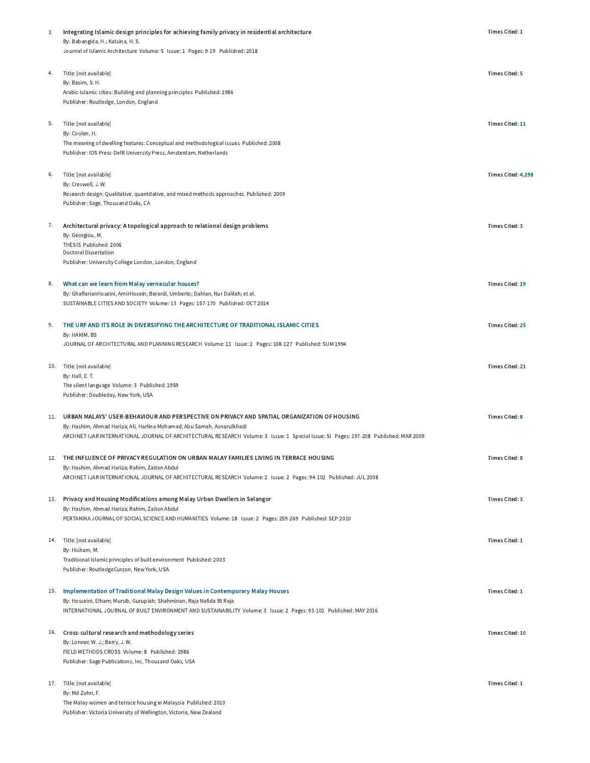| 3.  | Integrating Islamic design principles for achieving family privacy in residential architecture                                         | Times Cited: 1         |
|-----|----------------------------------------------------------------------------------------------------------------------------------------|------------------------|
|     | By: Babangida, H.; Katsina, H. S.                                                                                                      |                        |
|     | Journal of Islamic Architecture Volume: 5 Issue: 1 Pages: 9-19 Published: 2018                                                         |                        |
|     |                                                                                                                                        |                        |
| 4.  | Title: [not available]                                                                                                                 | <b>Times Cited: 5</b>  |
|     | By: Besim, S. H.                                                                                                                       |                        |
|     | Arabic-Islamic cities: Building and planning principles Published: 1986<br>Publisher: Routledge, London, England                       |                        |
|     |                                                                                                                                        |                        |
| 5.  |                                                                                                                                        |                        |
|     | Title: [not available]<br>By: Coolen, H.                                                                                               | Times Cited: 11        |
|     | The meaning of dwelling features: Conceptual and methodological issues Published: 2008                                                 |                        |
|     | Publisher: IOS Press-Delft University Press, Amsterdam, Netherlands                                                                    |                        |
|     |                                                                                                                                        |                        |
| 6.  | Title: [not available]                                                                                                                 | Times Cited: 4,298     |
|     | By: Creswell, J.W.                                                                                                                     |                        |
|     | Research design: Qualitative, quantitative, and mixed methods approaches Published: 2009                                               |                        |
|     | Publisher: Sage, Thousand Oaks, CA                                                                                                     |                        |
|     |                                                                                                                                        |                        |
| 7.  | Architectural privacy: A topological approach to relational design problems                                                            | Times Cited: 3         |
|     | By: Georgiou, M.                                                                                                                       |                        |
|     | THESIS Published: 2006<br><b>Doctoral Dissertation</b>                                                                                 |                        |
|     | Publisher: University College London, London, England                                                                                  |                        |
|     |                                                                                                                                        |                        |
| 8.  | What can we learn from Malay vernacular houses?                                                                                        | Times Cited: 19        |
|     | By: GhaffarianHoseini, AmirHosein; Berardi, Umberto; Dahlan, Nur Dalilah; et al.                                                       |                        |
|     | SUSTAINABLE CITIES AND SOCIETY Volume: 13 Pages: 157-170 Published: OCT 2014                                                           |                        |
|     |                                                                                                                                        |                        |
| 9.  | THE URF AND ITS ROLE IN DIVERSIFYING THE ARCHITECTURE OF TRADITIONAL ISLAMIC CITIES                                                    | <b>Times Cited: 25</b> |
|     | By: HAKIM, BS                                                                                                                          |                        |
|     | JOURNAL OF ARCHITECTURAL AND PLANNING RESEARCH Volume: 11 Issue: 2 Pages: 108-127 Published: SUM 1994                                  |                        |
|     |                                                                                                                                        |                        |
| 10. | Title: [not available]                                                                                                                 | Times Cited: 21        |
|     | By: Hall, E. T.                                                                                                                        |                        |
|     | The silent language Volume: 3 Published: 1959                                                                                          |                        |
|     | Publisher: Doubleday, New York, USA                                                                                                    |                        |
| 11. | URBAN MALAYS' USER-BEHAVIOUR AND PERSPECTIVE ON PRIVACY AND SPATIAL ORGANIZATION OF HOUSING                                            | <b>Times Cited: 8</b>  |
|     | By: Hashim, Ahmad Hariza; Ali, Harlina Mohamad; Abu Samah, Asnarulkhadi                                                                |                        |
|     | ARCHNET-IJAR INTERNATIONAL JOURNAL OF ARCHITECTURAL RESEARCH Volume: 3 Issue: 1 Special Issue: SI Pages: 197-208 Published: MAR 2009   |                        |
|     |                                                                                                                                        |                        |
|     | 12. THE INFLUENCE OF PRIVACY REGULATION ON URBAN MALAY FAMILIES LIVING IN TERRACE HOUSING                                              | <b>Times Cited: 8</b>  |
|     | By: Hashim, Ahmad Hariza; Rahim, Zaiton Abdul                                                                                          |                        |
|     | ARCHNET-IJAR INTERNATIONAL JOURNAL OF ARCHITECTURAL RESEARCH Volume: 2 Issue: 2 Pages: 94-102 Published: JUL 2008                      |                        |
|     |                                                                                                                                        |                        |
| 13. | Privacy and Housing Modifications among Malay Urban Dwellers in Selangor                                                               | <b>Times Cited: 3</b>  |
|     | By: Hashim, Ahmad Hariza; Rahim, Zaiton Abdul                                                                                          |                        |
|     | PERTANIKA JOURNAL OF SOCIAL SCIENCE AND HUMANITIES Volume: 18 Issue: 2 Pages: 259-269 Published: SEP 2010                              |                        |
|     |                                                                                                                                        |                        |
|     | 14. Title: [not available]                                                                                                             | Times Cited: 1         |
|     | By: Hisham, M.                                                                                                                         |                        |
|     | Traditional Islamic principles of built environment Published: 2003<br>Publisher: RoutledgeCurzon, New York, USA                       |                        |
|     |                                                                                                                                        |                        |
| 15. | Implementation of Traditional Malay Design Values in Contemporary Malay Houses                                                         | Times Cited: 1         |
|     | By: Hosseini, Elham; Mursib, Gurupiah; Shahminan, Raja Nafida Bt Raja                                                                  |                        |
|     | INTERNATIONAL JOURNAL OF BUILT ENVIRONMENT AND SUSTAINABILITY Volume: 3 Issue: 2 Pages: 93-101 Published: MAY 2016                     |                        |
|     |                                                                                                                                        |                        |
|     | 16. Cross-cultural research and methodology series                                                                                     | <b>Times Cited: 10</b> |
|     | By: Lonner, W. J.; Berry, J. W.                                                                                                        |                        |
|     | FIELD METHODS CROSS Volume: 8 Published: 1986                                                                                          |                        |
|     | Publisher: Sage Publications, Inc, Thousand Oaks, USA                                                                                  |                        |
|     |                                                                                                                                        |                        |
|     | 17. Title: [not available]                                                                                                             | Times Cited: 1         |
|     | By: Md Zohri, F.                                                                                                                       |                        |
|     | The Malay women and terrace housing in Malaysia Published: 2010<br>Publisher: Victoria University of Wellington, Victoria, New Zealand |                        |
|     |                                                                                                                                        |                        |